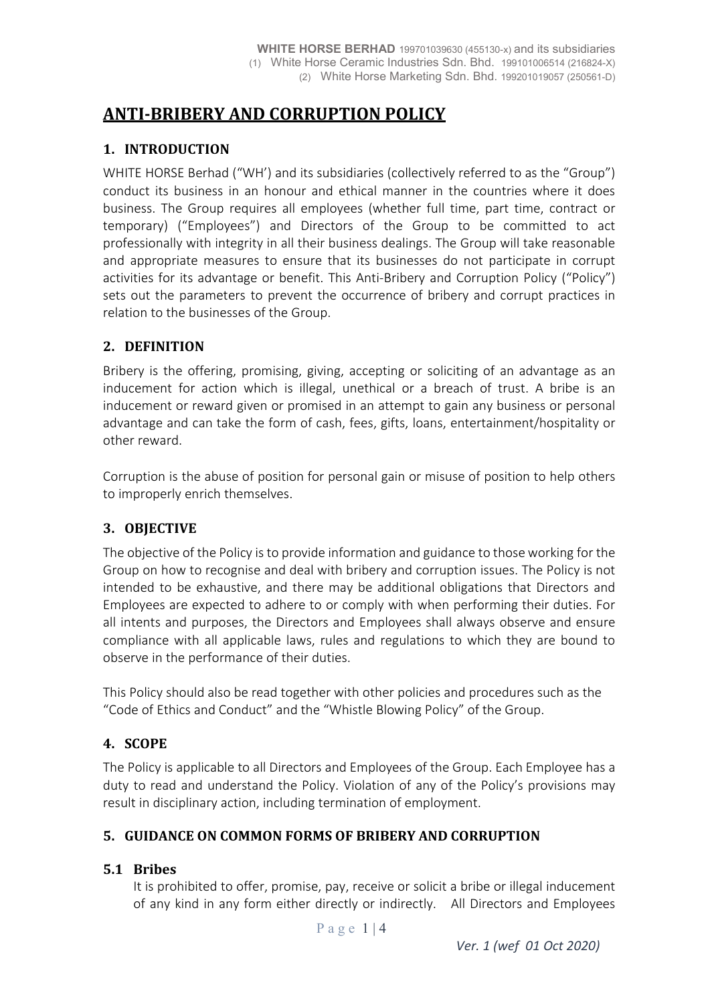# **ANTI-BRIBERY AND CORRUPTION POLICY**

## **1. INTRODUCTION**

WHITE HORSE Berhad ("WH') and its subsidiaries (collectively referred to as the "Group") conduct its business in an honour and ethical manner in the countries where it does business. The Group requires all employees (whether full time, part time, contract or temporary) ("Employees") and Directors of the Group to be committed to act professionally with integrity in all their business dealings. The Group will take reasonable and appropriate measures to ensure that its businesses do not participate in corrupt activities for its advantage or benefit. This Anti-Bribery and Corruption Policy ("Policy") sets out the parameters to prevent the occurrence of bribery and corrupt practices in relation to the businesses of the Group.

# **2. DEFINITION**

Bribery is the offering, promising, giving, accepting or soliciting of an advantage as an inducement for action which is illegal, unethical or a breach of trust. A bribe is an inducement or reward given or promised in an attempt to gain any business or personal advantage and can take the form of cash, fees, gifts, loans, entertainment/hospitality or other reward.

Corruption is the abuse of position for personal gain or misuse of position to help others to improperly enrich themselves.

## **3. OBJECTIVE**

The objective of the Policy is to provide information and guidance to those working for the Group on how to recognise and deal with bribery and corruption issues. The Policy is not intended to be exhaustive, and there may be additional obligations that Directors and Employees are expected to adhere to or comply with when performing their duties. For all intents and purposes, the Directors and Employees shall always observe and ensure compliance with all applicable laws, rules and regulations to which they are bound to observe in the performance of their duties.

This Policy should also be read together with other policies and procedures such as the "Code of Ethics and Conduct" and the "Whistle Blowing Policy" of the Group.

## **4. SCOPE**

The Policy is applicable to all Directors and Employees of the Group. Each Employee has a duty to read and understand the Policy. Violation of any of the Policy's provisions may result in disciplinary action, including termination of employment.

## **5. GUIDANCE ON COMMON FORMS OF BRIBERY AND CORRUPTION**

## **5.1 Bribes**

It is prohibited to offer, promise, pay, receive or solicit a bribe or illegal inducement of any kind in any form either directly or indirectly. All Directors and Employees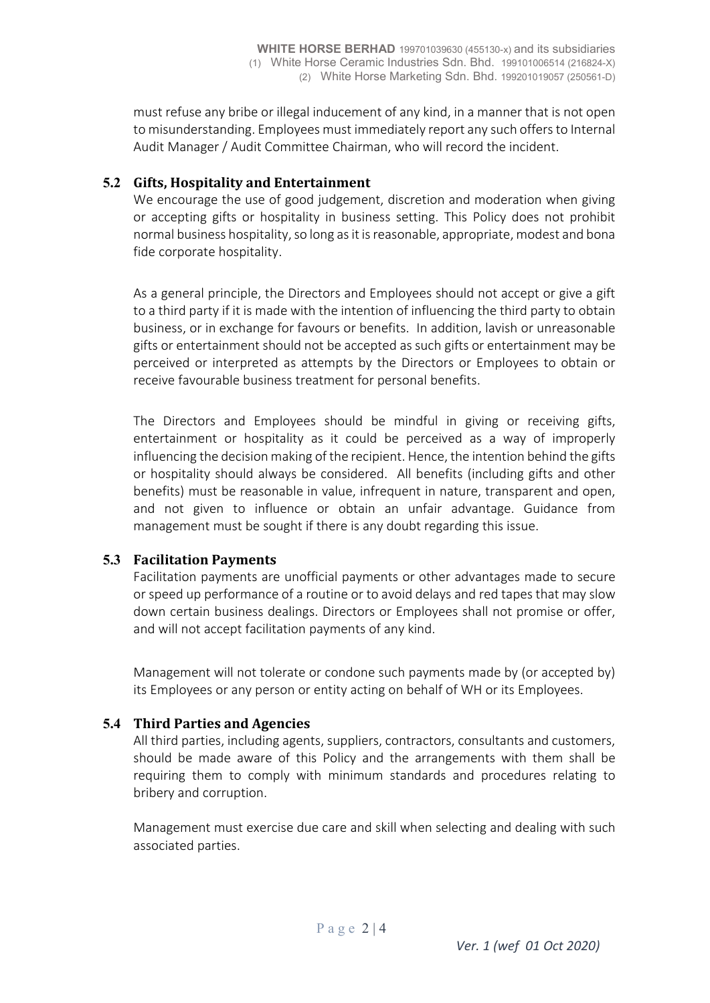must refuse any bribe or illegal inducement of any kind, in a manner that is not open to misunderstanding. Employees must immediately report any such offers to Internal Audit Manager / Audit Committee Chairman, who will record the incident.

#### **5.2 Gifts, Hospitality and Entertainment**

We encourage the use of good judgement, discretion and moderation when giving or accepting gifts or hospitality in business setting. This Policy does not prohibit normal business hospitality, so long as it is reasonable, appropriate, modest and bona fide corporate hospitality.

As a general principle, the Directors and Employees should not accept or give a gift to a third party if it is made with the intention of influencing the third party to obtain business, or in exchange for favours or benefits. In addition, lavish or unreasonable gifts or entertainment should not be accepted as such gifts or entertainment may be perceived or interpreted as attempts by the Directors or Employees to obtain or receive favourable business treatment for personal benefits.

The Directors and Employees should be mindful in giving or receiving gifts, entertainment or hospitality as it could be perceived as a way of improperly influencing the decision making of the recipient. Hence, the intention behind the gifts or hospitality should always be considered. All benefits (including gifts and other benefits) must be reasonable in value, infrequent in nature, transparent and open, and not given to influence or obtain an unfair advantage. Guidance from management must be sought if there is any doubt regarding this issue.

#### **5.3 Facilitation Payments**

Facilitation payments are unofficial payments or other advantages made to secure or speed up performance of a routine or to avoid delays and red tapes that may slow down certain business dealings. Directors or Employees shall not promise or offer, and will not accept facilitation payments of any kind.

Management will not tolerate or condone such payments made by (or accepted by) its Employees or any person or entity acting on behalf of WH or its Employees.

## **5.4 Third Parties and Agencies**

All third parties, including agents, suppliers, contractors, consultants and customers, should be made aware of this Policy and the arrangements with them shall be requiring them to comply with minimum standards and procedures relating to bribery and corruption.

Management must exercise due care and skill when selecting and dealing with such associated parties.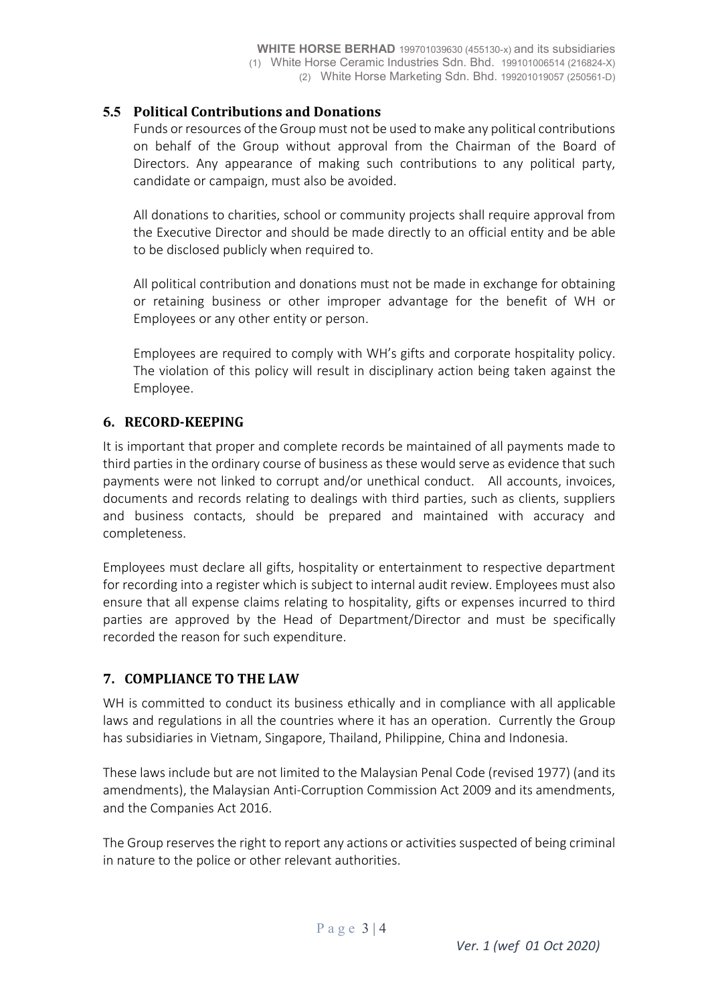#### **5.5 Political Contributions and Donations**

Funds or resources of the Group must not be used to make any political contributions on behalf of the Group without approval from the Chairman of the Board of Directors. Any appearance of making such contributions to any political party, candidate or campaign, must also be avoided.

All donations to charities, school or community projects shall require approval from the Executive Director and should be made directly to an official entity and be able to be disclosed publicly when required to.

All political contribution and donations must not be made in exchange for obtaining or retaining business or other improper advantage for the benefit of WH or Employees or any other entity or person.

Employees are required to comply with WH's gifts and corporate hospitality policy. The violation of this policy will result in disciplinary action being taken against the Employee.

## **6. RECORD-KEEPING**

It is important that proper and complete records be maintained of all payments made to third parties in the ordinary course of business as these would serve as evidence that such payments were not linked to corrupt and/or unethical conduct. All accounts, invoices, documents and records relating to dealings with third parties, such as clients, suppliers and business contacts, should be prepared and maintained with accuracy and completeness.

Employees must declare all gifts, hospitality or entertainment to respective department for recording into a register which is subject to internal audit review. Employees must also ensure that all expense claims relating to hospitality, gifts or expenses incurred to third parties are approved by the Head of Department/Director and must be specifically recorded the reason for such expenditure.

#### **7. COMPLIANCE TO THE LAW**

WH is committed to conduct its business ethically and in compliance with all applicable laws and regulations in all the countries where it has an operation. Currently the Group has subsidiaries in Vietnam, Singapore, Thailand, Philippine, China and Indonesia.

These laws include but are not limited to the Malaysian Penal Code (revised 1977) (and its amendments), the Malaysian Anti-Corruption Commission Act 2009 and its amendments, and the Companies Act 2016.

The Group reserves the right to report any actions or activities suspected of being criminal in nature to the police or other relevant authorities.